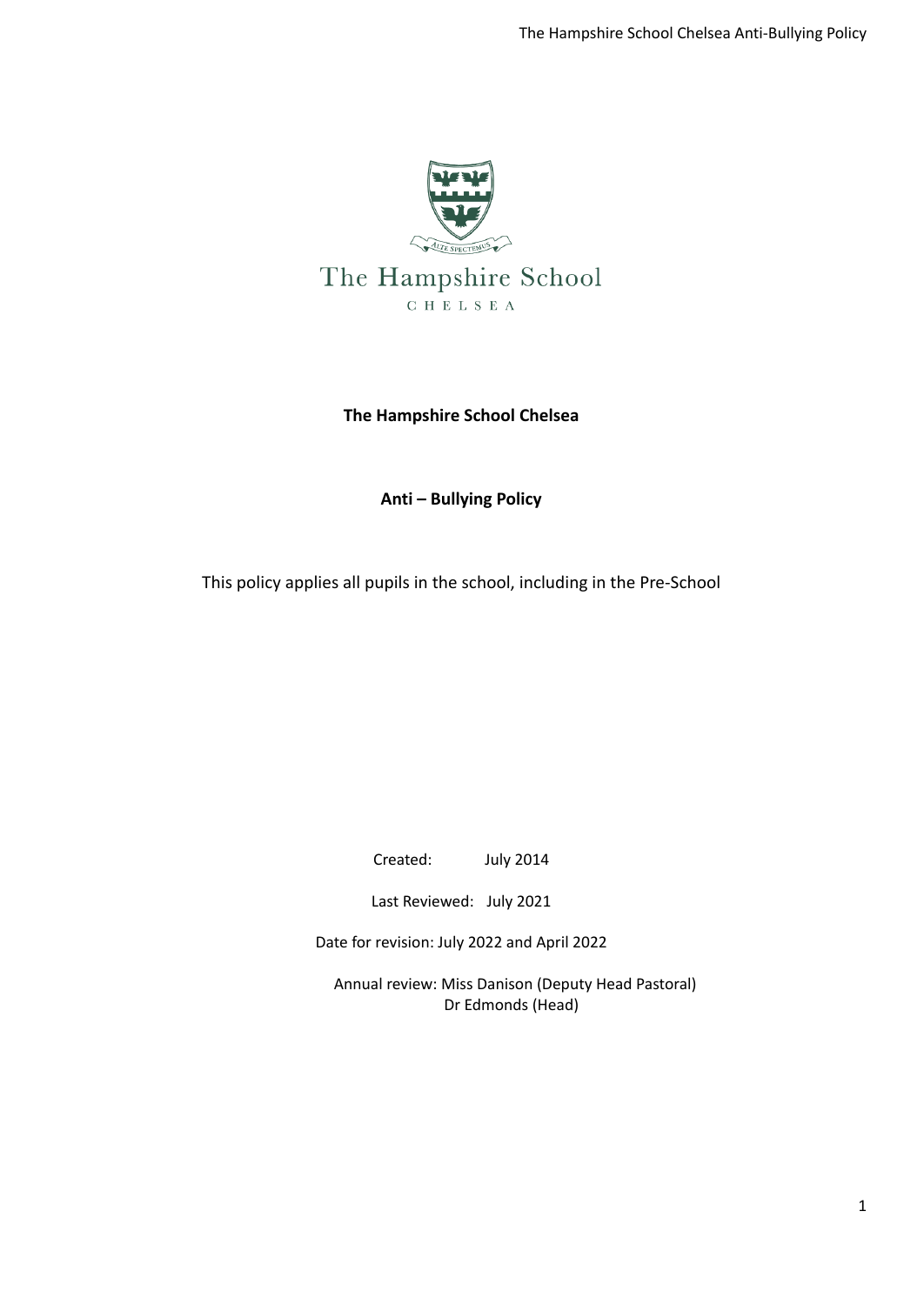

### **The Hampshire School Chelsea**

### **Anti – Bullying Policy**

This policy applies all pupils in the school, including in the Pre-School

Created: July 2014

Last Reviewed: July 2021

Date for revision: July 2022 and April 2022

Annual review: Miss Danison (Deputy Head Pastoral) Dr Edmonds (Head)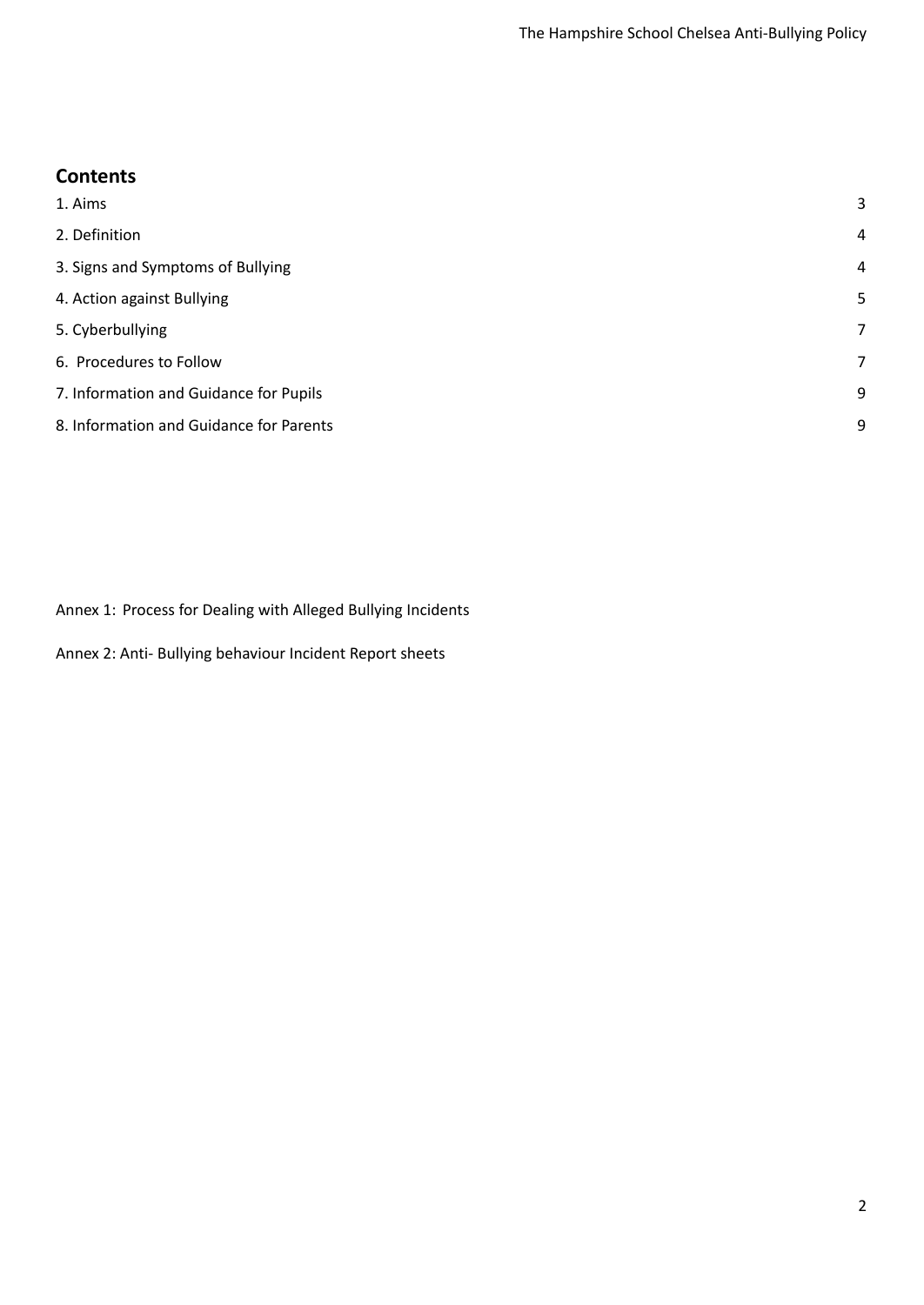## **Contents**

| 1. Aims                                 | 3 |
|-----------------------------------------|---|
| 2. Definition                           | 4 |
| 3. Signs and Symptoms of Bullying       | 4 |
| 4. Action against Bullying              | 5 |
| 5. Cyberbullying                        | 7 |
| 6. Procedures to Follow                 | 7 |
| 7. Information and Guidance for Pupils  | 9 |
| 8. Information and Guidance for Parents | 9 |
|                                         |   |

Annex 1: Process for Dealing with Alleged Bullying Incidents

Annex 2: Anti- Bullying behaviour Incident Report sheets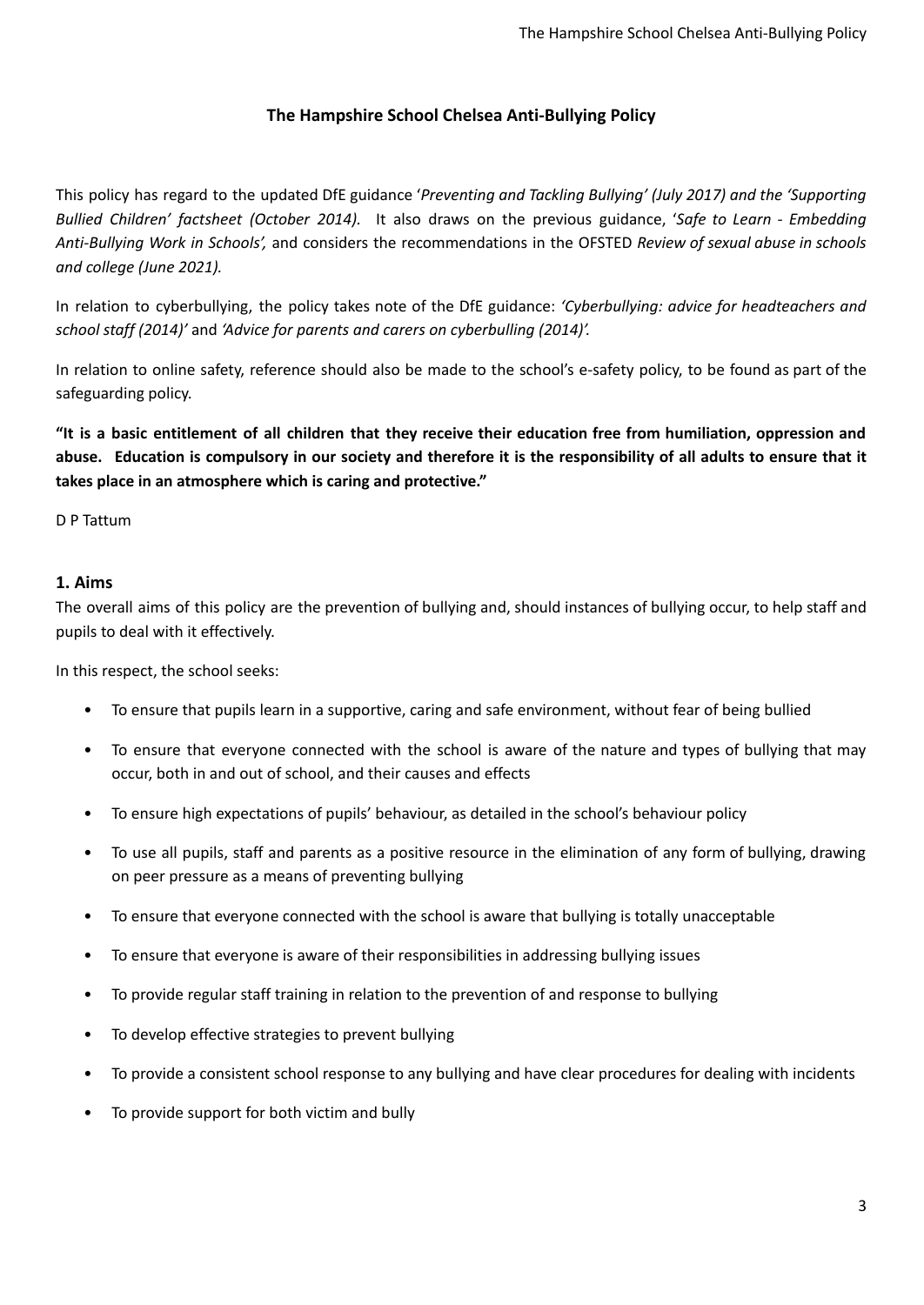## **The Hampshire School Chelsea Anti-Bullying Policy**

This policy has regard to the updated DfE guidance '*Preventing and Tackling Bullying' (July 2017) and the 'Supporting Bullied Children' factsheet (October 2014).* It also draws on the previous guidance, '*Safe to Learn - Embedding Anti-Bullying Work in Schools',* and considers the recommendations in the OFSTED *Review of sexual abuse in schools and college (June 2021).*

In relation to cyberbullying, the policy takes note of the DfE guidance: *'Cyberbullying: advice for headteachers and school staff (2014)'* and *'Advice for parents and carers on cyberbulling (2014)'.*

In relation to online safety, reference should also be made to the school's e-safety policy, to be found as part of the safeguarding policy.

"It is a basic entitlement of all children that they receive their education free from humiliation, oppression and abuse. Education is compulsory in our society and therefore it is the responsibility of all adults to ensure that it **takes place in an atmosphere which is caring and protective."**

D P Tattum

#### <span id="page-2-0"></span>**1. Aims**

The overall aims of this policy are the prevention of bullying and, should instances of bullying occur, to help staff and pupils to deal with it effectively.

In this respect, the school seeks:

- To ensure that pupils learn in a supportive, caring and safe environment, without fear of being bullied
- To ensure that everyone connected with the school is aware of the nature and types of bullying that may occur, both in and out of school, and their causes and effects
- To ensure high expectations of pupils' behaviour, as detailed in the school's behaviour policy
- To use all pupils, staff and parents as a positive resource in the elimination of any form of bullying, drawing on peer pressure as a means of preventing bullying
- To ensure that everyone connected with the school is aware that bullying is totally unacceptable
- To ensure that everyone is aware of their responsibilities in addressing bullying issues
- To provide regular staff training in relation to the prevention of and response to bullying
- To develop effective strategies to prevent bullying
- To provide a consistent school response to any bullying and have clear procedures for dealing with incidents
- To provide support for both victim and bully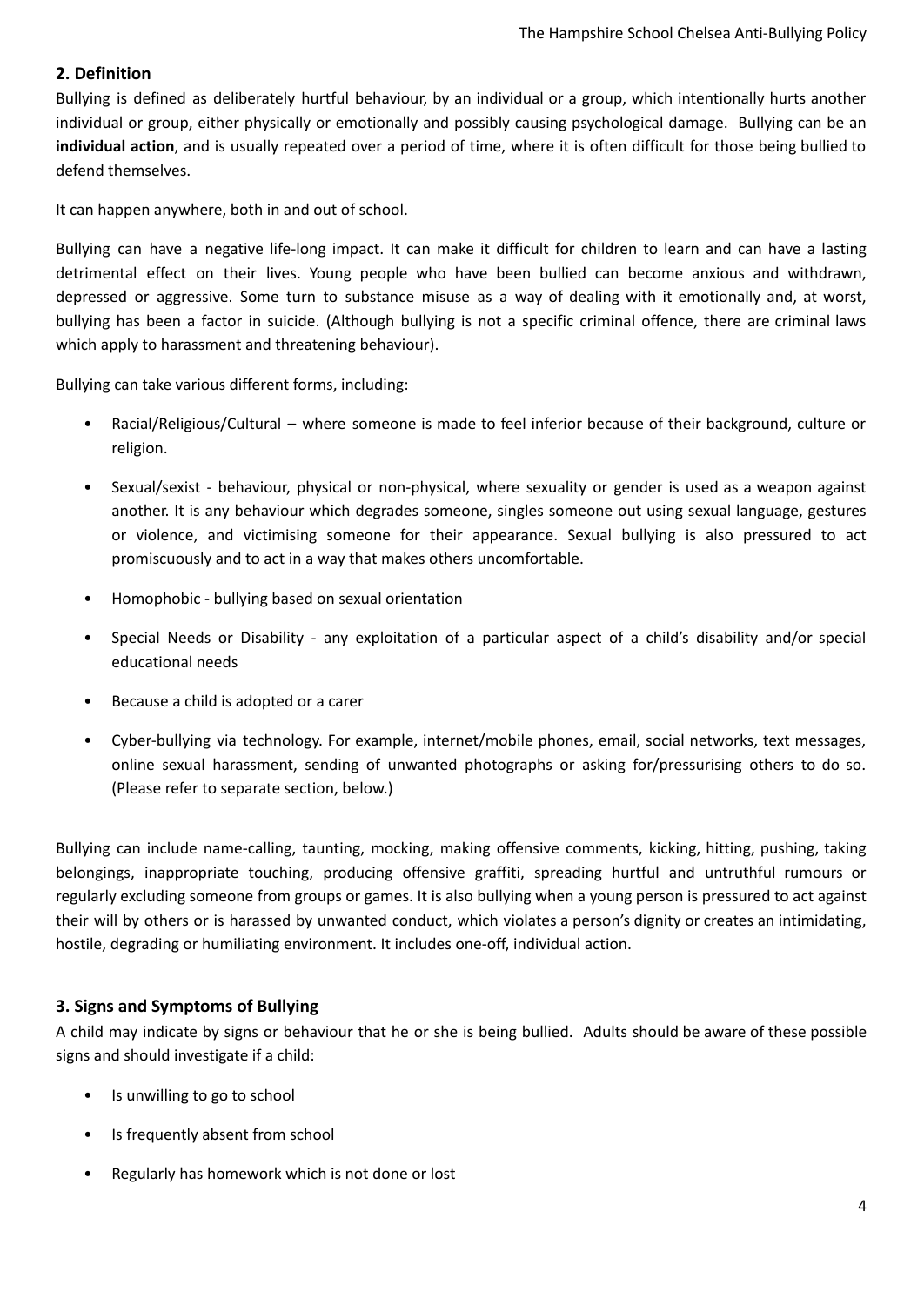## <span id="page-3-0"></span>**2. Definition**

Bullying is defined as deliberately hurtful behaviour, by an individual or a group, which intentionally hurts another individual or group, either physically or emotionally and possibly causing psychological damage. Bullying can be an **individual action**, and is usually repeated over a period of time, where it is often difficult for those being bullied to defend themselves.

It can happen anywhere, both in and out of school.

Bullying can have a negative life-long impact. It can make it difficult for children to learn and can have a lasting detrimental effect on their lives. Young people who have been bullied can become anxious and withdrawn, depressed or aggressive. Some turn to substance misuse as a way of dealing with it emotionally and, at worst, bullying has been a factor in suicide. (Although bullying is not a specific criminal offence, there are criminal laws which apply to harassment and threatening behaviour).

Bullying can take various different forms, including:

- Racial/Religious/Cultural where someone is made to feel inferior because of their background, culture or religion.
- Sexual/sexist behaviour, physical or non-physical, where sexuality or gender is used as a weapon against another. It is any behaviour which degrades someone, singles someone out using sexual language, gestures or violence, and victimising someone for their appearance. Sexual bullying is also pressured to act promiscuously and to act in a way that makes others uncomfortable.
- Homophobic bullying based on sexual orientation
- Special Needs or Disability any exploitation of a particular aspect of a child's disability and/or special educational needs
- Because a child is adopted or a carer
- Cyber-bullying via technology. For example, internet/mobile phones, email, social networks, text messages, online sexual harassment, sending of unwanted photographs or asking for/pressurising others to do so. (Please refer to separate section, below.)

Bullying can include name-calling, taunting, mocking, making offensive comments, kicking, hitting, pushing, taking belongings, inappropriate touching, producing offensive graffiti, spreading hurtful and untruthful rumours or regularly excluding someone from groups or games. It is also bullying when a young person is pressured to act against their will by others or is harassed by unwanted conduct, which violates a person's dignity or creates an intimidating, hostile, degrading or humiliating environment. It includes one-off, individual action.

#### <span id="page-3-1"></span>**3. Signs and Symptoms of Bullying**

A child may indicate by signs or behaviour that he or she is being bullied. Adults should be aware of these possible signs and should investigate if a child:

- Is unwilling to go to school
- Is frequently absent from school
- Regularly has homework which is not done or lost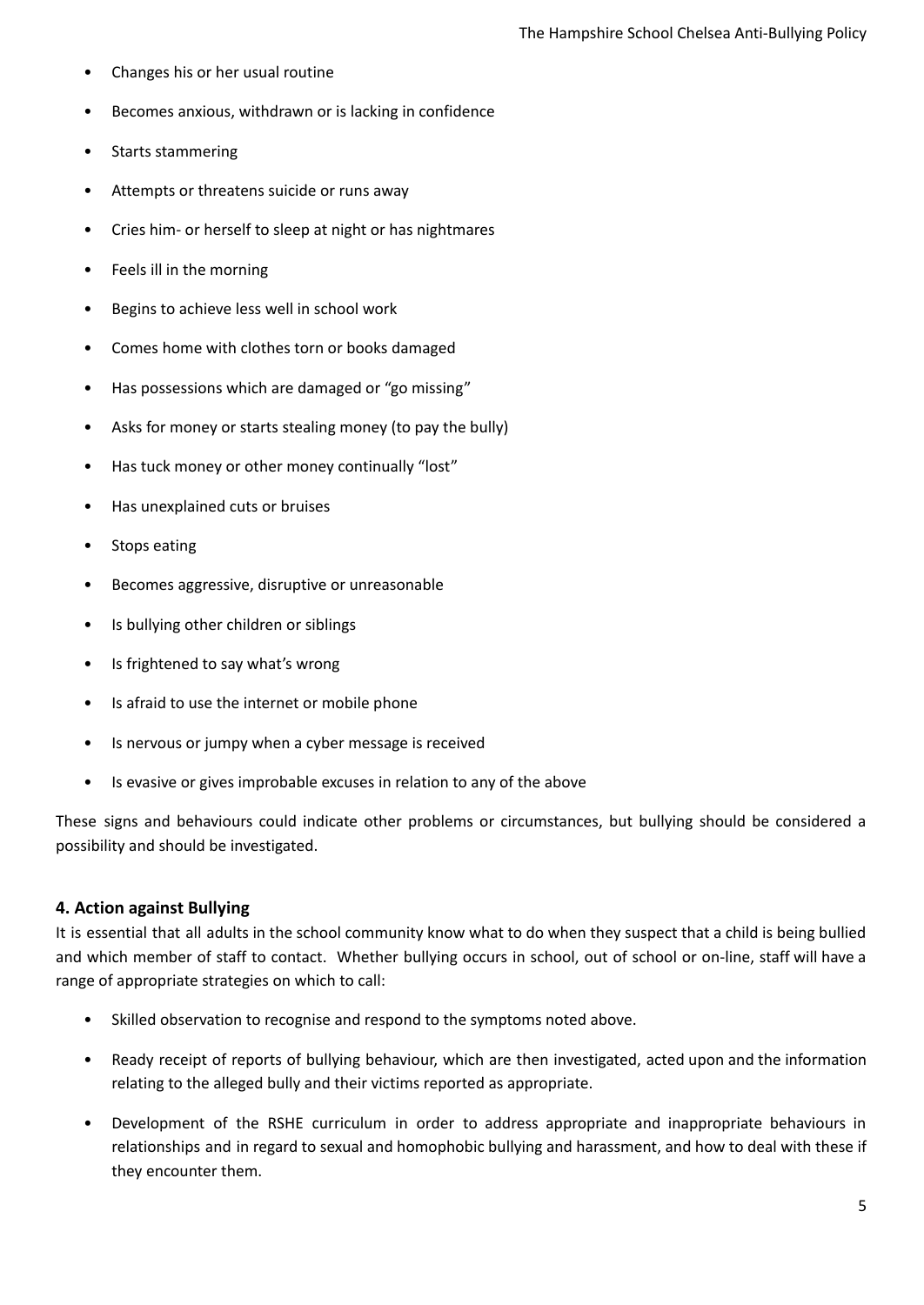- Changes his or her usual routine
- Becomes anxious, withdrawn or is lacking in confidence
- Starts stammering
- Attempts or threatens suicide or runs away
- Cries him- or herself to sleep at night or has nightmares
- Feels ill in the morning
- Begins to achieve less well in school work
- Comes home with clothes torn or books damaged
- Has possessions which are damaged or "go missing"
- Asks for money or starts stealing money (to pay the bully)
- Has tuck money or other money continually "lost"
- Has unexplained cuts or bruises
- Stops eating
- Becomes aggressive, disruptive or unreasonable
- Is bullying other children or siblings
- Is frightened to say what's wrong
- Is afraid to use the internet or mobile phone
- Is nervous or jumpy when a cyber message is received
- Is evasive or gives improbable excuses in relation to any of the above

These signs and behaviours could indicate other problems or circumstances, but bullying should be considered a possibility and should be investigated.

#### <span id="page-4-0"></span>**4. Action against Bullying**

It is essential that all adults in the school community know what to do when they suspect that a child is being bullied and which member of staff to contact. Whether bullying occurs in school, out of school or on-line, staff will have a range of appropriate strategies on which to call:

- Skilled observation to recognise and respond to the symptoms noted above.
- Ready receipt of reports of bullying behaviour, which are then investigated, acted upon and the information relating to the alleged bully and their victims reported as appropriate.
- Development of the RSHE curriculum in order to address appropriate and inappropriate behaviours in relationships and in regard to sexual and homophobic bullying and harassment, and how to deal with these if they encounter them.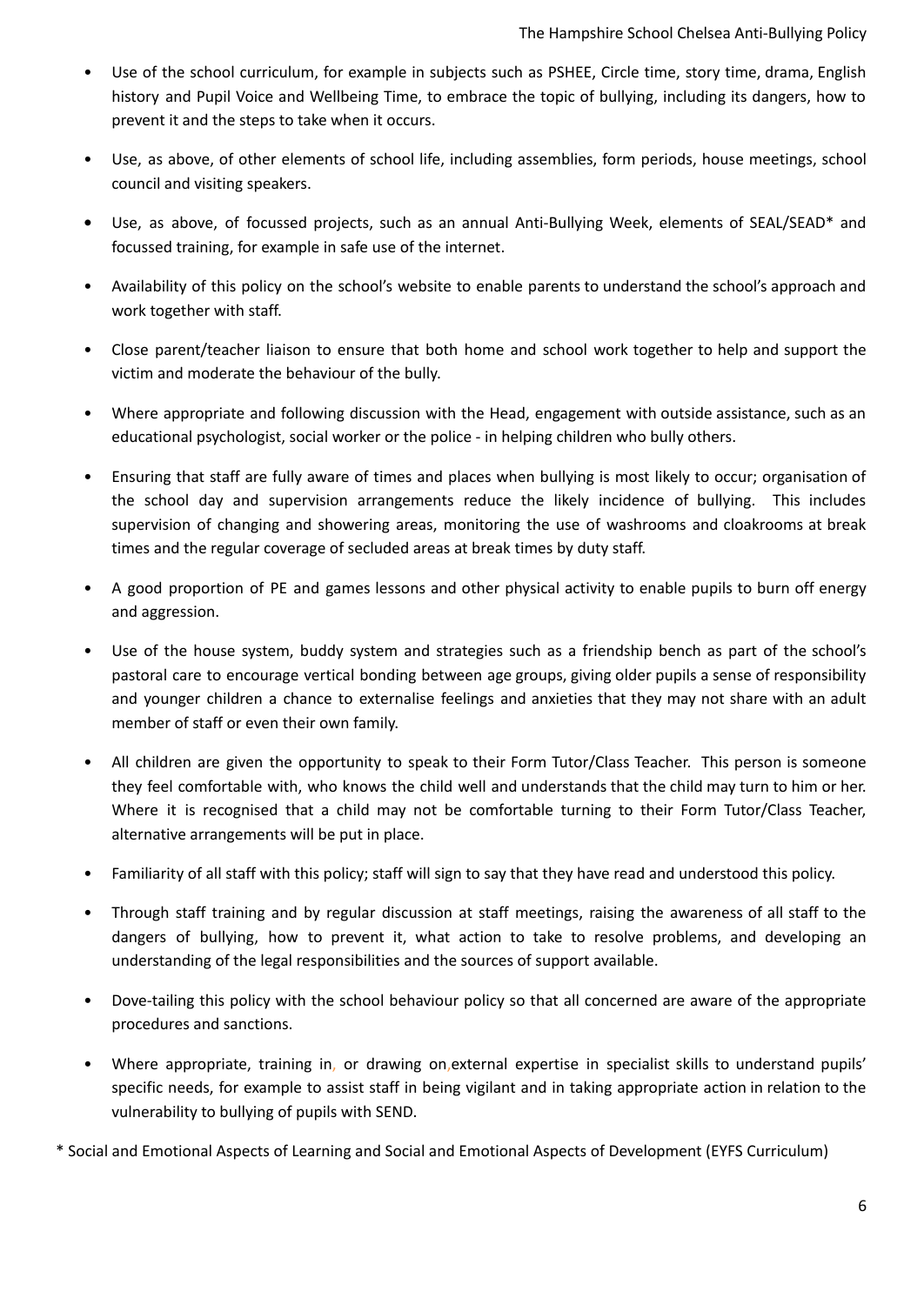- Use of the school curriculum, for example in subjects such as PSHEE, Circle time, story time, drama, English history and Pupil Voice and Wellbeing Time, to embrace the topic of bullying, including its dangers, how to prevent it and the steps to take when it occurs.
- Use, as above, of other elements of school life, including assemblies, form periods, house meetings, school council and visiting speakers.
- **•** Use, as above, of focussed projects, such as an annual Anti-Bullying Week, elements of SEAL/SEAD\* and focussed training, for example in safe use of the internet.
- Availability of this policy on the school's website to enable parents to understand the school's approach and work together with staff.
- Close parent/teacher liaison to ensure that both home and school work together to help and support the victim and moderate the behaviour of the bully.
- Where appropriate and following discussion with the Head, engagement with outside assistance, such as an educational psychologist, social worker or the police - in helping children who bully others.
- Ensuring that staff are fully aware of times and places when bullying is most likely to occur; organisation of the school day and supervision arrangements reduce the likely incidence of bullying. This includes supervision of changing and showering areas, monitoring the use of washrooms and cloakrooms at break times and the regular coverage of secluded areas at break times by duty staff.
- A good proportion of PE and games lessons and other physical activity to enable pupils to burn off energy and aggression.
- Use of the house system, buddy system and strategies such as a friendship bench as part of the school's pastoral care to encourage vertical bonding between age groups, giving older pupils a sense of responsibility and younger children a chance to externalise feelings and anxieties that they may not share with an adult member of staff or even their own family.
- All children are given the opportunity to speak to their Form Tutor/Class Teacher. This person is someone they feel comfortable with, who knows the child well and understands that the child may turn to him or her. Where it is recognised that a child may not be comfortable turning to their Form Tutor/Class Teacher, alternative arrangements will be put in place.
- Familiarity of all staff with this policy; staff will sign to say that they have read and understood this policy.
- Through staff training and by regular discussion at staff meetings, raising the awareness of all staff to the dangers of bullying, how to prevent it, what action to take to resolve problems, and developing an understanding of the legal responsibilities and the sources of support available.
- Dove-tailing this policy with the school behaviour policy so that all concerned are aware of the appropriate procedures and sanctions.
- Where appropriate, training in, or drawing on,external expertise in specialist skills to understand pupils' specific needs, for example to assist staff in being vigilant and in taking appropriate action in relation to the vulnerability to bullying of pupils with SEND.

\* Social and Emotional Aspects of Learning and Social and Emotional Aspects of Development (EYFS Curriculum)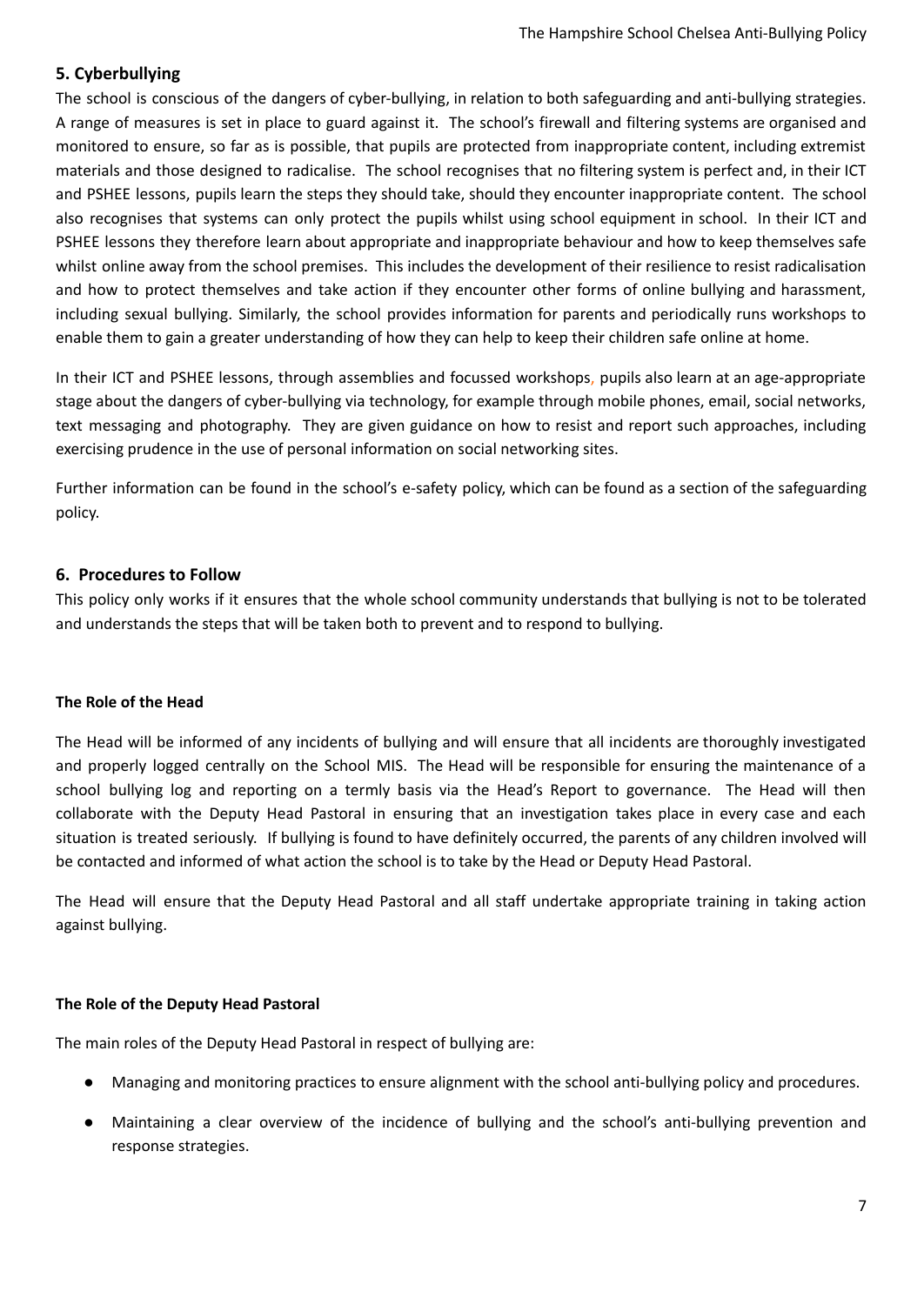### <span id="page-6-0"></span>**5. Cyberbullying**

The school is conscious of the dangers of cyber-bullying, in relation to both safeguarding and anti-bullying strategies. A range of measures is set in place to guard against it. The school's firewall and filtering systems are organised and monitored to ensure, so far as is possible, that pupils are protected from inappropriate content, including extremist materials and those designed to radicalise. The school recognises that no filtering system is perfect and, in their ICT and PSHEE lessons, pupils learn the steps they should take, should they encounter inappropriate content. The school also recognises that systems can only protect the pupils whilst using school equipment in school. In their ICT and PSHEE lessons they therefore learn about appropriate and inappropriate behaviour and how to keep themselves safe whilst online away from the school premises. This includes the development of their resilience to resist radicalisation and how to protect themselves and take action if they encounter other forms of online bullying and harassment, including sexual bullying. Similarly, the school provides information for parents and periodically runs workshops to enable them to gain a greater understanding of how they can help to keep their children safe online at home.

In their ICT and PSHEE lessons, through assemblies and focussed workshops, pupils also learn at an age-appropriate stage about the dangers of cyber-bullying via technology, for example through mobile phones, email, social networks, text messaging and photography. They are given guidance on how to resist and report such approaches, including exercising prudence in the use of personal information on social networking sites.

Further information can be found in the school's e-safety policy, which can be found as a section of the safeguarding policy.

#### <span id="page-6-1"></span>**6. Procedures to Follow**

This policy only works if it ensures that the whole school community understands that bullying is not to be tolerated and understands the steps that will be taken both to prevent and to respond to bullying.

#### **The Role of the Head**

The Head will be informed of any incidents of bullying and will ensure that all incidents are thoroughly investigated and properly logged centrally on the School MIS. The Head will be responsible for ensuring the maintenance of a school bullying log and reporting on a termly basis via the Head's Report to governance. The Head will then collaborate with the Deputy Head Pastoral in ensuring that an investigation takes place in every case and each situation is treated seriously. If bullying is found to have definitely occurred, the parents of any children involved will be contacted and informed of what action the school is to take by the Head or Deputy Head Pastoral.

The Head will ensure that the Deputy Head Pastoral and all staff undertake appropriate training in taking action against bullying.

#### **The Role of the Deputy Head Pastoral**

The main roles of the Deputy Head Pastoral in respect of bullying are:

- Managing and monitoring practices to ensure alignment with the school anti-bullying policy and procedures.
- Maintaining a clear overview of the incidence of bullying and the school's anti-bullying prevention and response strategies.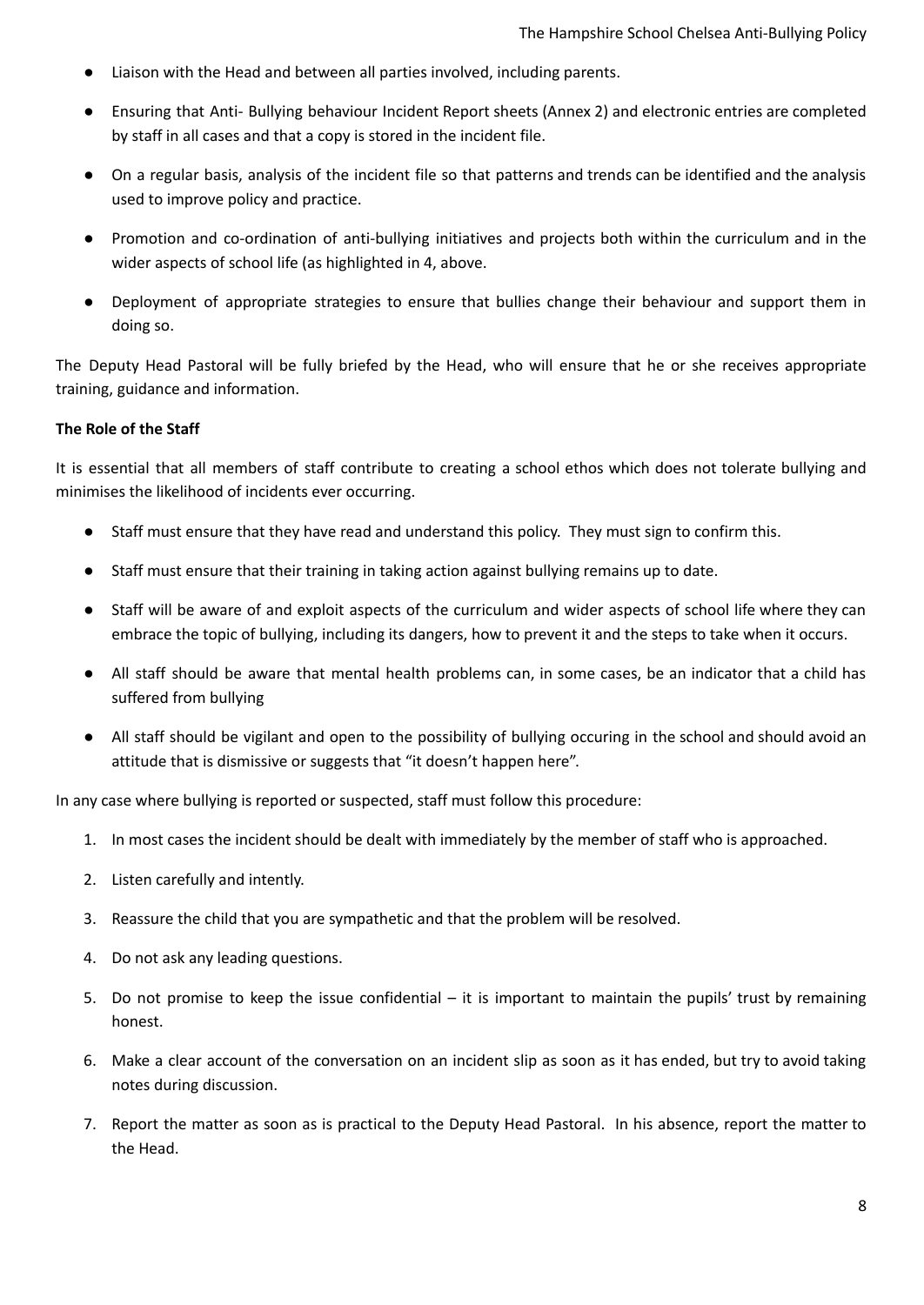- Liaison with the Head and between all parties involved, including parents.
- Ensuring that Anti- Bullying behaviour Incident Report sheets (Annex 2) and electronic entries are completed by staff in all cases and that a copy is stored in the incident file.
- On a regular basis, analysis of the incident file so that patterns and trends can be identified and the analysis used to improve policy and practice.
- Promotion and co-ordination of anti-bullying initiatives and projects both within the curriculum and in the wider aspects of school life (as highlighted in 4, above.
- Deployment of appropriate strategies to ensure that bullies change their behaviour and support them in doing so.

The Deputy Head Pastoral will be fully briefed by the Head, who will ensure that he or she receives appropriate training, guidance and information.

#### **The Role of the Staff**

It is essential that all members of staff contribute to creating a school ethos which does not tolerate bullying and minimises the likelihood of incidents ever occurring.

- Staff must ensure that they have read and understand this policy. They must sign to confirm this.
- Staff must ensure that their training in taking action against bullying remains up to date.
- Staff will be aware of and exploit aspects of the curriculum and wider aspects of school life where they can embrace the topic of bullying, including its dangers, how to prevent it and the steps to take when it occurs.
- All staff should be aware that mental health problems can, in some cases, be an indicator that a child has suffered from bullying
- All staff should be vigilant and open to the possibility of bullying occuring in the school and should avoid an attitude that is dismissive or suggests that "it doesn't happen here".

In any case where bullying is reported or suspected, staff must follow this procedure:

- 1. In most cases the incident should be dealt with immediately by the member of staff who is approached.
- 2. Listen carefully and intently.
- 3. Reassure the child that you are sympathetic and that the problem will be resolved.
- 4. Do not ask any leading questions.
- 5. Do not promise to keep the issue confidential it is important to maintain the pupils' trust by remaining honest.
- 6. Make a clear account of the conversation on an incident slip as soon as it has ended, but try to avoid taking notes during discussion.
- 7. Report the matter as soon as is practical to the Deputy Head Pastoral. In his absence, report the matter to the Head.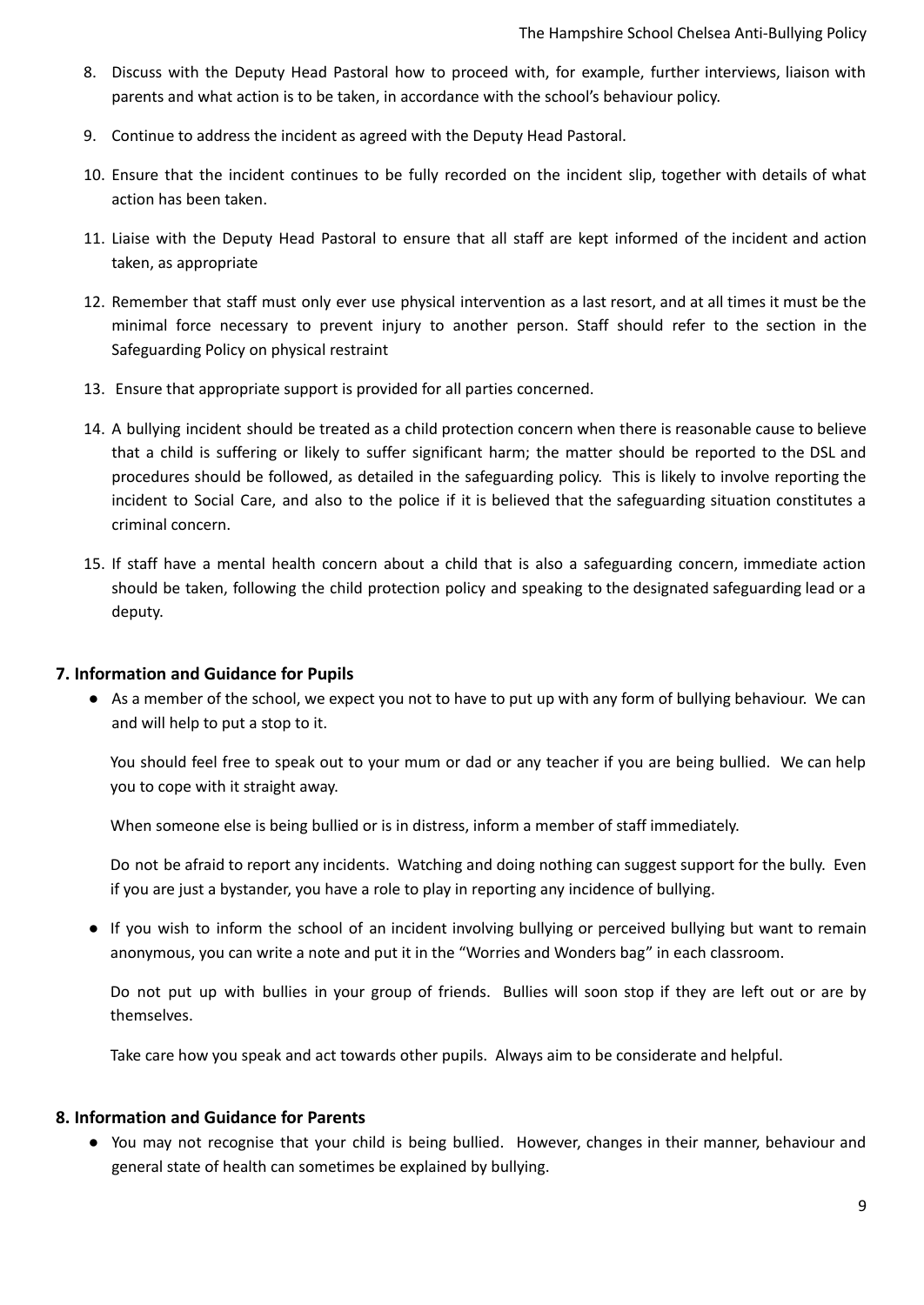- 8. Discuss with the Deputy Head Pastoral how to proceed with, for example, further interviews, liaison with parents and what action is to be taken, in accordance with the school's behaviour policy.
- 9. Continue to address the incident as agreed with the Deputy Head Pastoral.
- 10. Ensure that the incident continues to be fully recorded on the incident slip, together with details of what action has been taken.
- 11. Liaise with the Deputy Head Pastoral to ensure that all staff are kept informed of the incident and action taken, as appropriate
- 12. Remember that staff must only ever use physical intervention as a last resort, and at all times it must be the minimal force necessary to prevent injury to another person. Staff should refer to the section in the Safeguarding Policy on physical restraint
- 13. Ensure that appropriate support is provided for all parties concerned.
- 14. A bullying incident should be treated as a child protection concern when there is reasonable cause to believe that a child is suffering or likely to suffer significant harm; the matter should be reported to the DSL and procedures should be followed, as detailed in the safeguarding policy. This is likely to involve reporting the incident to Social Care, and also to the police if it is believed that the safeguarding situation constitutes a criminal concern.
- 15. If staff have a mental health concern about a child that is also a safeguarding concern, immediate action should be taken, following the child protection policy and speaking to the designated safeguarding lead or a deputy.

#### <span id="page-8-0"></span>**7. Information and Guidance for Pupils**

● As a member of the school, we expect you not to have to put up with any form of bullying behaviour. We can and will help to put a stop to it.

You should feel free to speak out to your mum or dad or any teacher if you are being bullied. We can help you to cope with it straight away.

When someone else is being bullied or is in distress, inform a member of staff immediately.

Do not be afraid to report any incidents. Watching and doing nothing can suggest support for the bully. Even if you are just a bystander, you have a role to play in reporting any incidence of bullying.

● If you wish to inform the school of an incident involving bullying or perceived bullying but want to remain anonymous, you can write a note and put it in the "Worries and Wonders bag" in each classroom.

Do not put up with bullies in your group of friends. Bullies will soon stop if they are left out or are by themselves.

Take care how you speak and act towards other pupils. Always aim to be considerate and helpful.

#### <span id="page-8-1"></span>**8. Information and Guidance for Parents**

● You may not recognise that your child is being bullied. However, changes in their manner, behaviour and general state of health can sometimes be explained by bullying.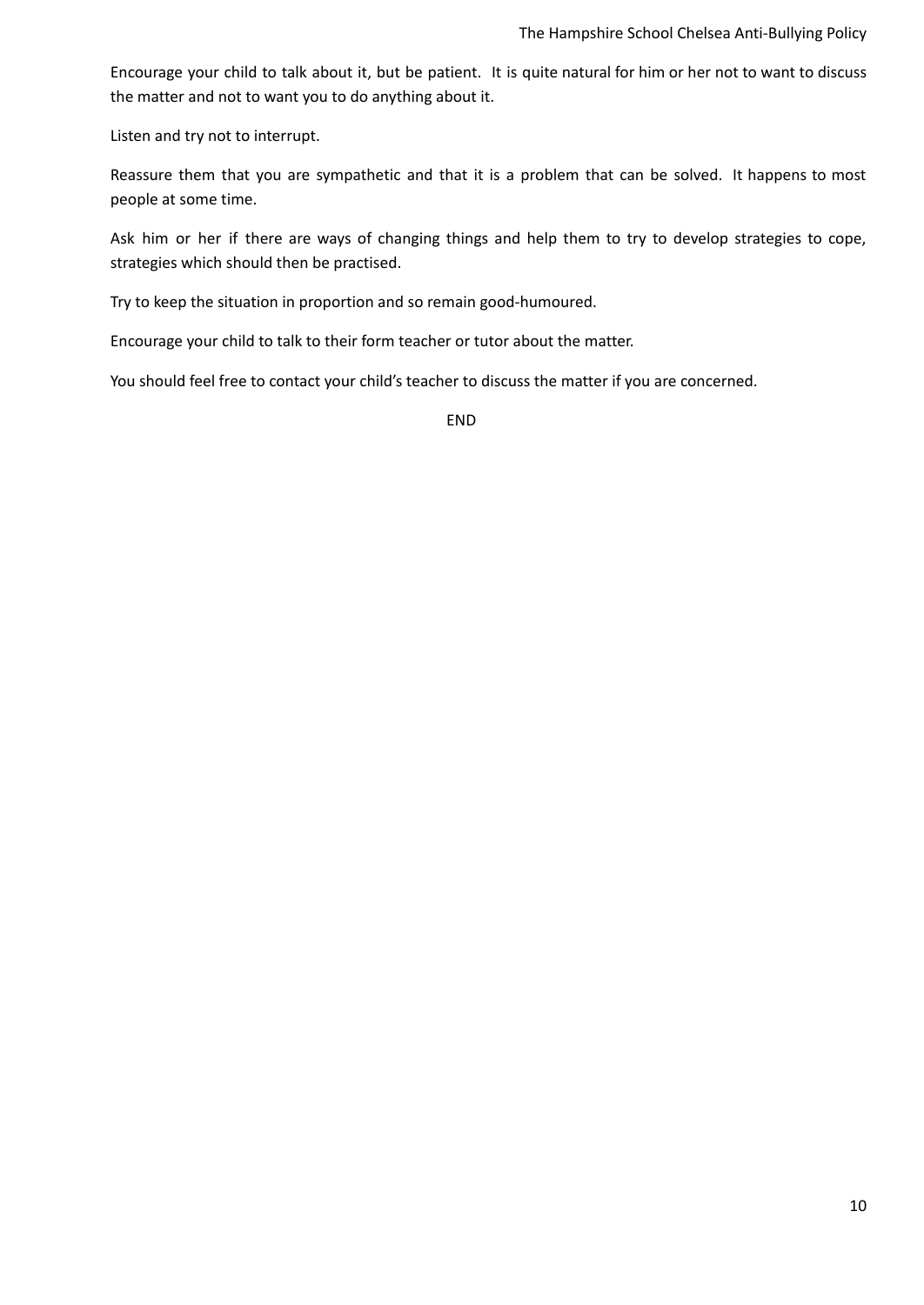Encourage your child to talk about it, but be patient. It is quite natural for him or her not to want to discuss the matter and not to want you to do anything about it.

Listen and try not to interrupt.

Reassure them that you are sympathetic and that it is a problem that can be solved. It happens to most people at some time.

Ask him or her if there are ways of changing things and help them to try to develop strategies to cope, strategies which should then be practised.

Try to keep the situation in proportion and so remain good-humoured.

Encourage your child to talk to their form teacher or tutor about the matter.

You should feel free to contact your child's teacher to discuss the matter if you are concerned.

END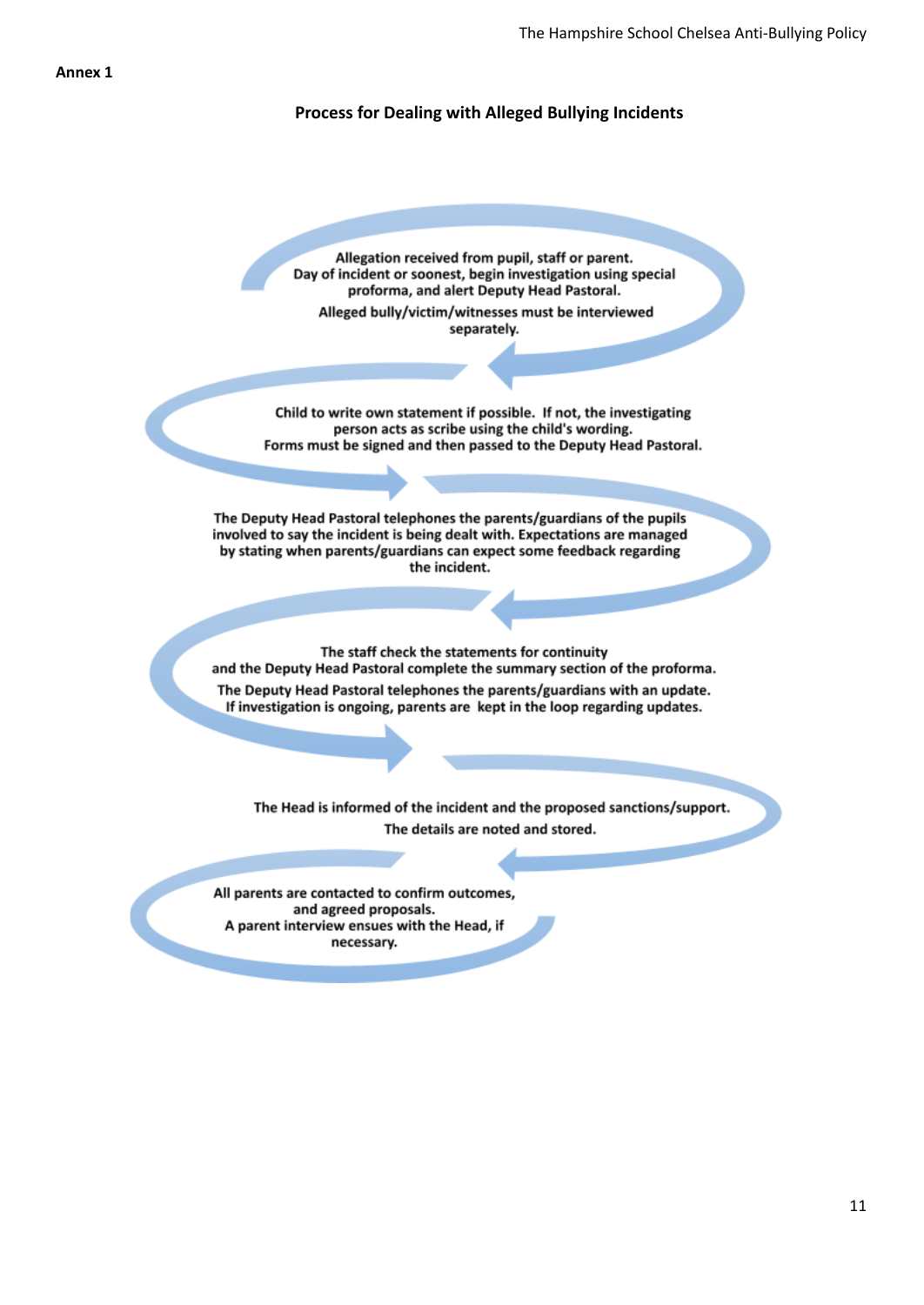#### **Process for Dealing with Alleged Bullying Incidents**

Allegation received from pupil, staff or parent. Day of incident or soonest, begin investigation using special proforma, and alert Deputy Head Pastoral. Alleged bully/victim/witnesses must be interviewed separately.

Child to write own statement if possible. If not, the investigating person acts as scribe using the child's wording. Forms must be signed and then passed to the Deputy Head Pastoral.

The Deputy Head Pastoral telephones the parents/guardians of the pupils involved to say the incident is being dealt with. Expectations are managed by stating when parents/guardians can expect some feedback regarding the incident.

The staff check the statements for continuity and the Deputy Head Pastoral complete the summary section of the proforma. The Deputy Head Pastoral telephones the parents/guardians with an update. If investigation is ongoing, parents are kept in the loop regarding updates.

The Head is informed of the incident and the proposed sanctions/support. The details are noted and stored.

All parents are contacted to confirm outcomes, and agreed proposals. A parent interview ensues with the Head, if necessary.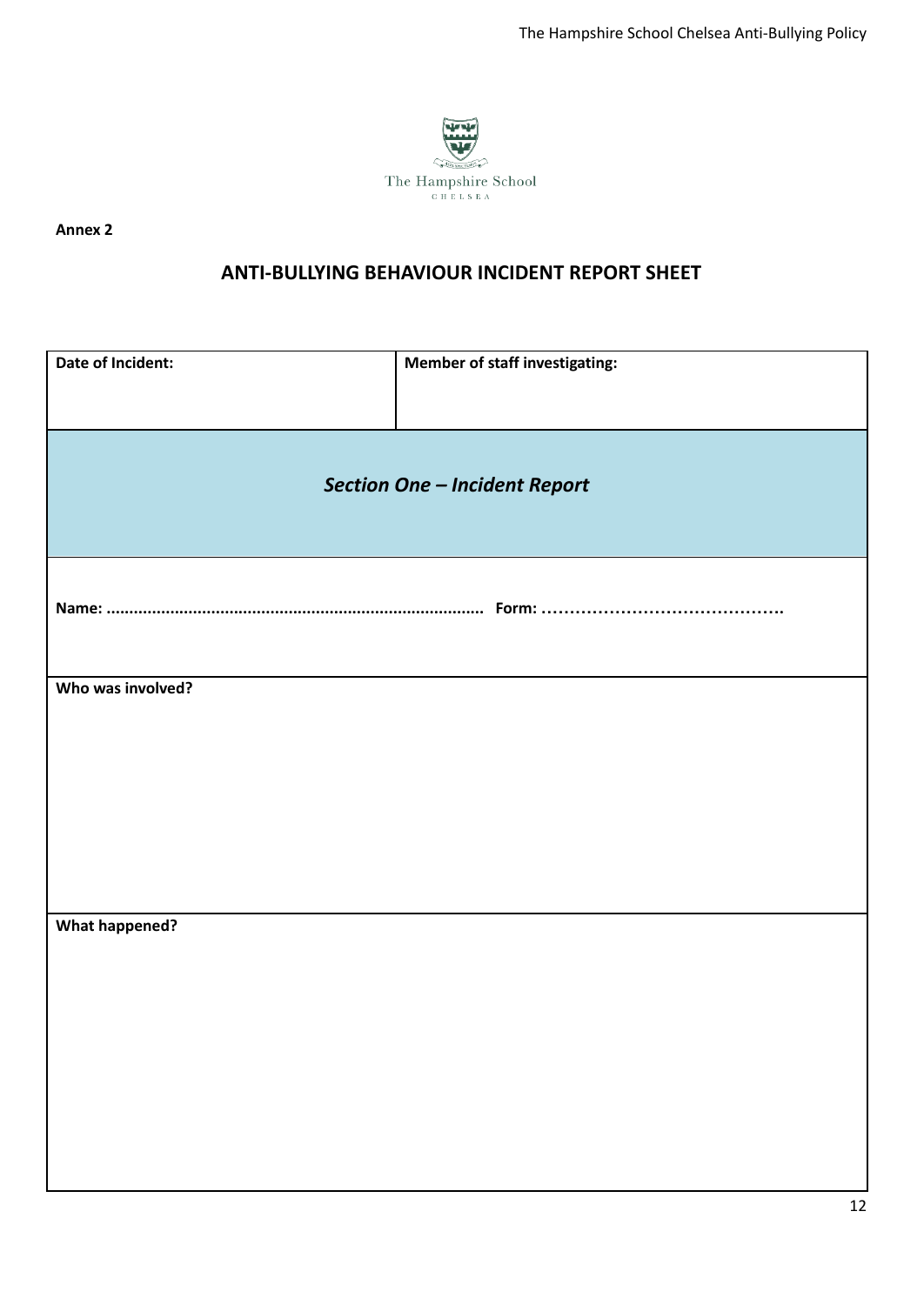

**Annex 2**

## **ANTI-BULLYING BEHAVIOUR INCIDENT REPORT SHEET**

| <b>Section One - Incident Report</b><br>Who was involved?<br><b>What happened?</b> | Date of Incident: | <b>Member of staff investigating:</b> |
|------------------------------------------------------------------------------------|-------------------|---------------------------------------|
|                                                                                    |                   |                                       |
|                                                                                    |                   |                                       |
|                                                                                    |                   |                                       |
|                                                                                    |                   |                                       |
|                                                                                    |                   |                                       |
|                                                                                    |                   |                                       |
|                                                                                    |                   |                                       |
|                                                                                    |                   |                                       |
|                                                                                    |                   |                                       |
|                                                                                    |                   |                                       |
|                                                                                    |                   |                                       |
|                                                                                    |                   |                                       |
|                                                                                    |                   |                                       |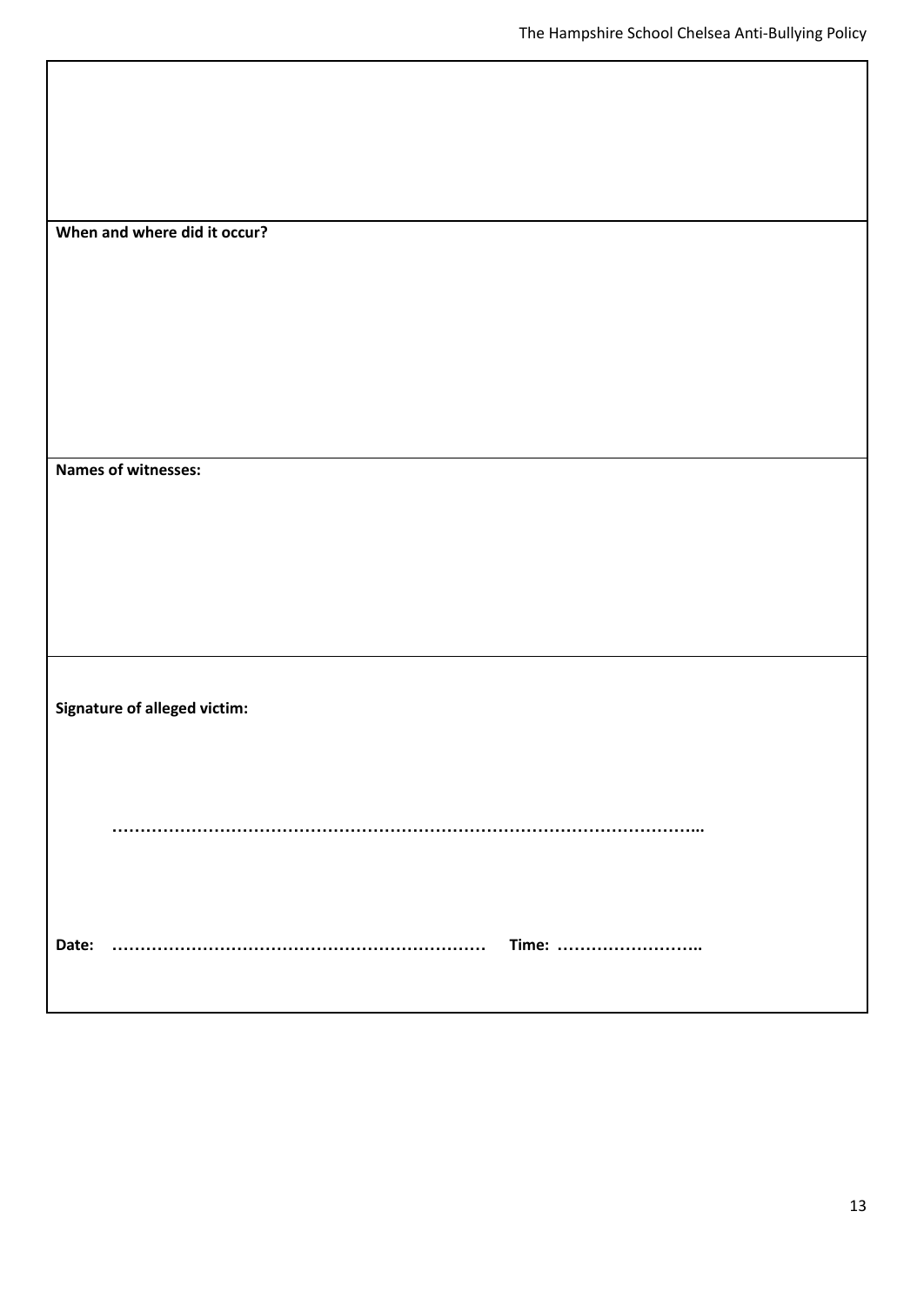| When and where did it occur?        |  |
|-------------------------------------|--|
| <b>Names of witnesses:</b>          |  |
|                                     |  |
| <b>Signature of alleged victim:</b> |  |
| Time:<br>Date:                      |  |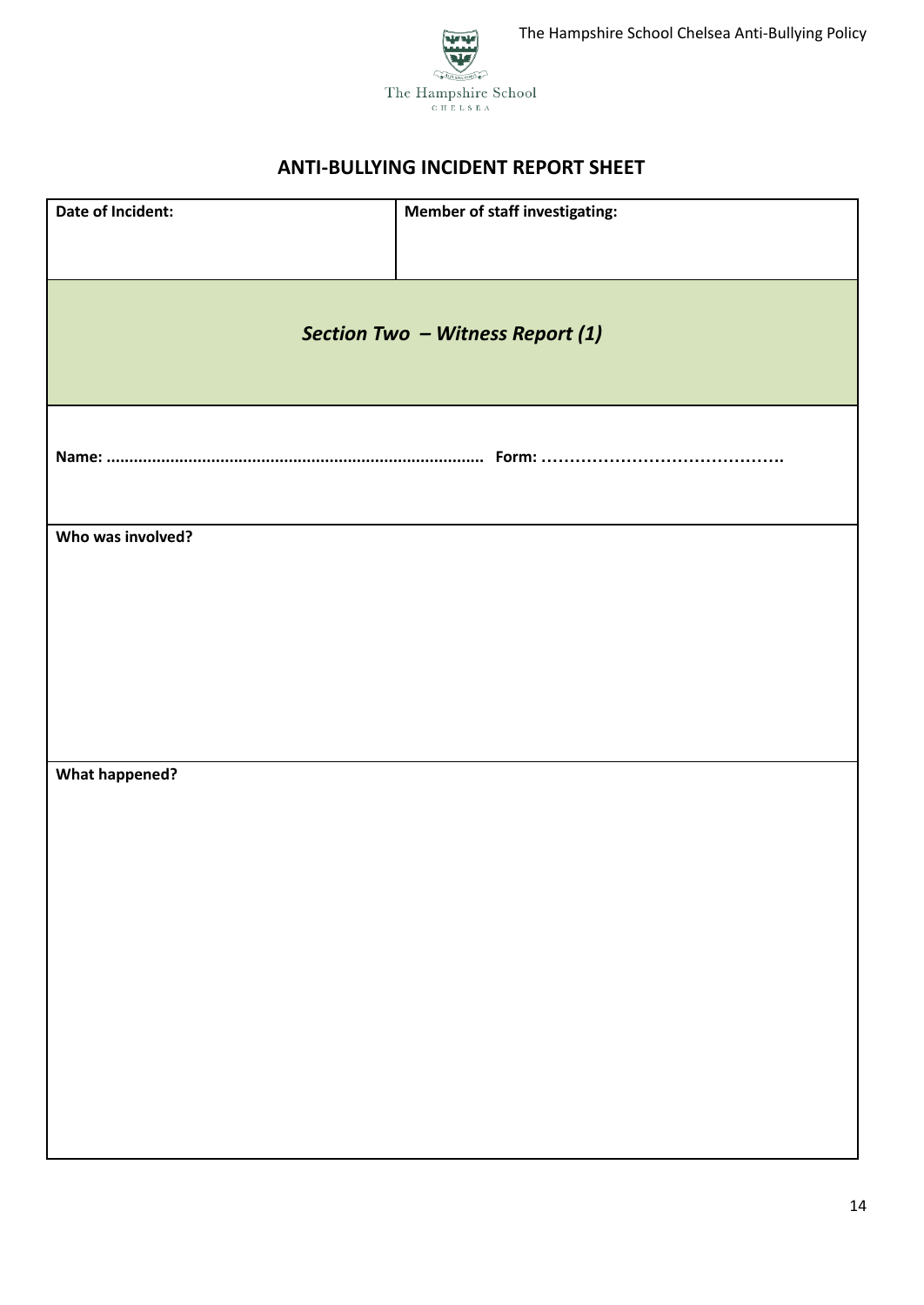



| Date of Incident:     | <b>Member of staff investigating:</b> |
|-----------------------|---------------------------------------|
|                       |                                       |
|                       |                                       |
|                       | Section Two - Witness Report (1)      |
|                       |                                       |
|                       |                                       |
|                       |                                       |
|                       |                                       |
|                       |                                       |
| Who was involved?     |                                       |
|                       |                                       |
|                       |                                       |
|                       |                                       |
|                       |                                       |
|                       |                                       |
|                       |                                       |
| <b>What happened?</b> |                                       |
|                       |                                       |
|                       |                                       |
|                       |                                       |
|                       |                                       |
|                       |                                       |
|                       |                                       |
|                       |                                       |
|                       |                                       |
|                       |                                       |
|                       |                                       |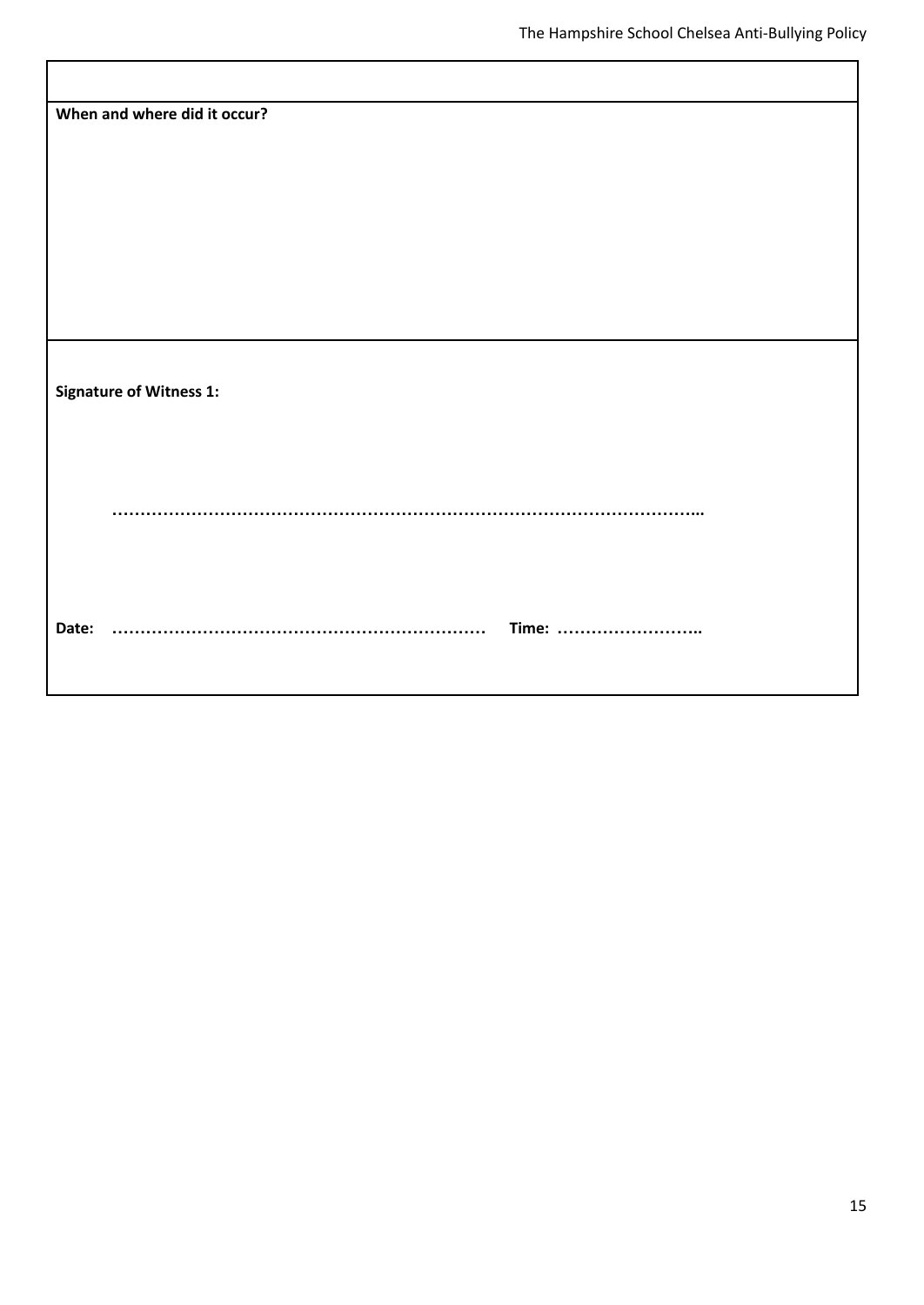| When and where did it occur?   |
|--------------------------------|
|                                |
|                                |
|                                |
|                                |
|                                |
|                                |
|                                |
|                                |
|                                |
|                                |
|                                |
|                                |
|                                |
| <b>Signature of Witness 1:</b> |
|                                |
|                                |
|                                |
|                                |
|                                |
|                                |
|                                |
|                                |
|                                |
|                                |
|                                |
|                                |
| Time:<br>Date:                 |
|                                |
|                                |
|                                |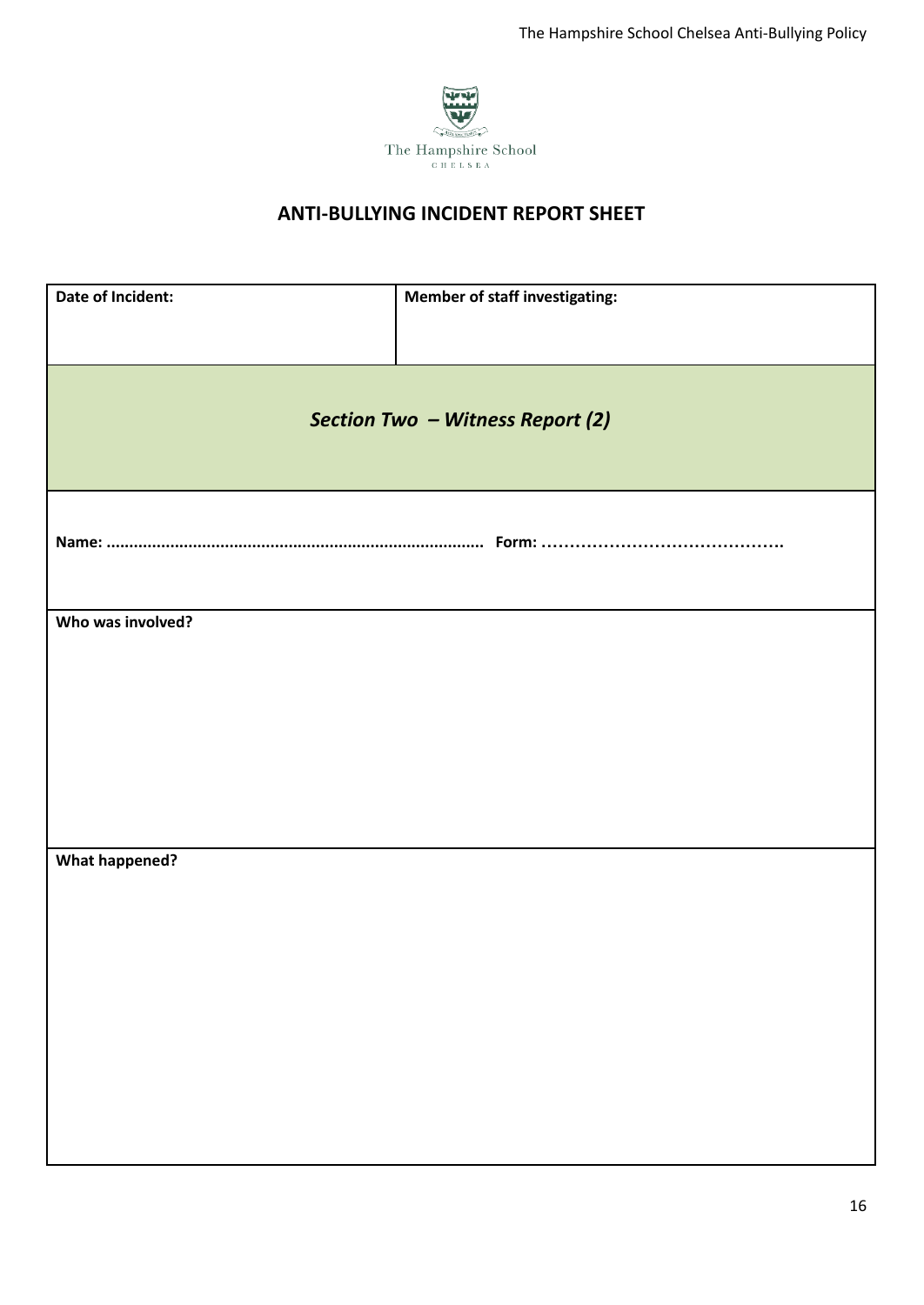

| Date of Incident:     | <b>Member of staff investigating:</b> |
|-----------------------|---------------------------------------|
|                       | Section Two - Witness Report (2)      |
|                       |                                       |
| Who was involved?     |                                       |
|                       |                                       |
|                       |                                       |
|                       |                                       |
| <b>What happened?</b> |                                       |
|                       |                                       |
|                       |                                       |
|                       |                                       |
|                       |                                       |
|                       |                                       |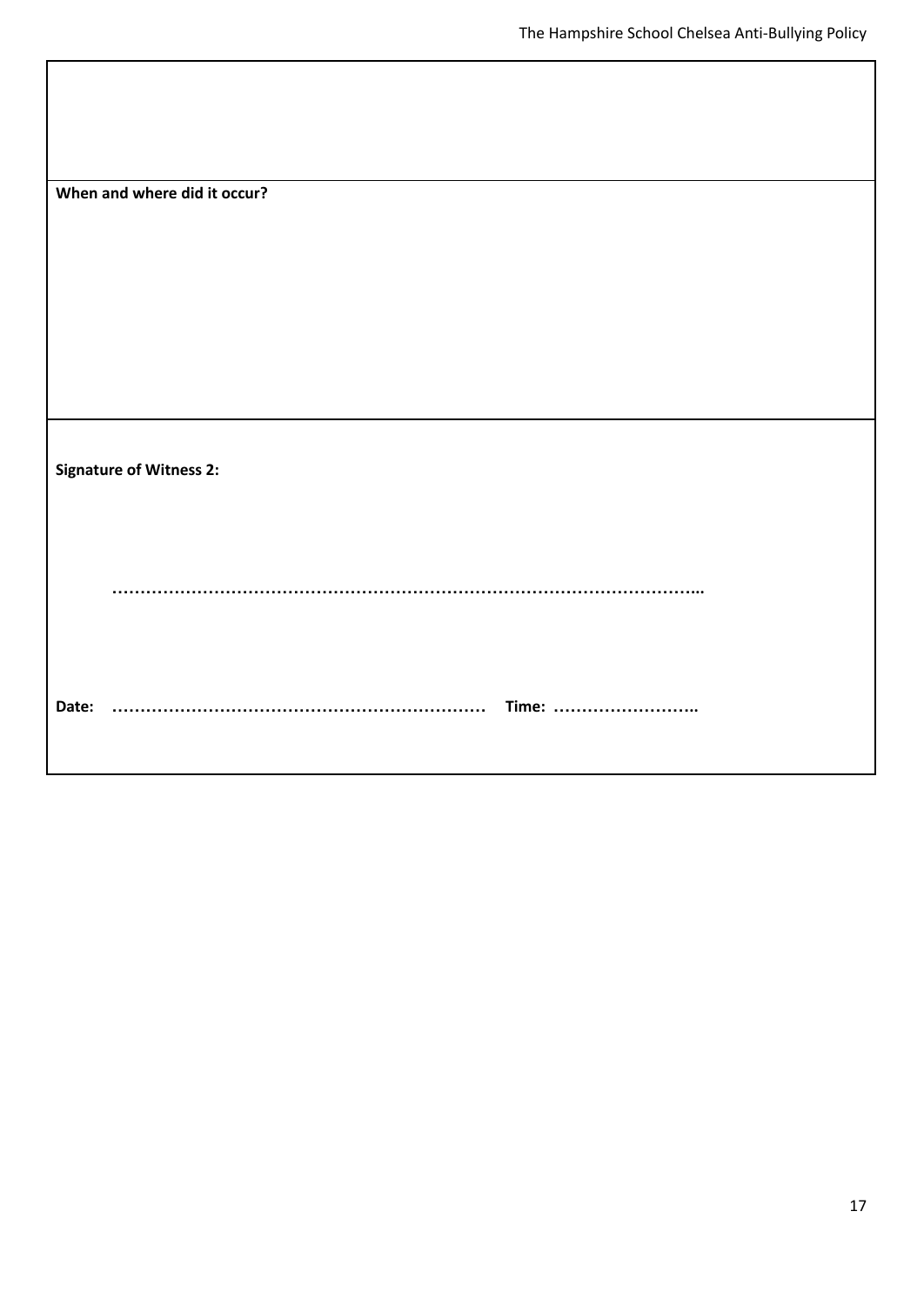| When and where did it occur?   |
|--------------------------------|
|                                |
|                                |
| <b>Signature of Witness 2:</b> |
|                                |
| Date:<br>Time:                 |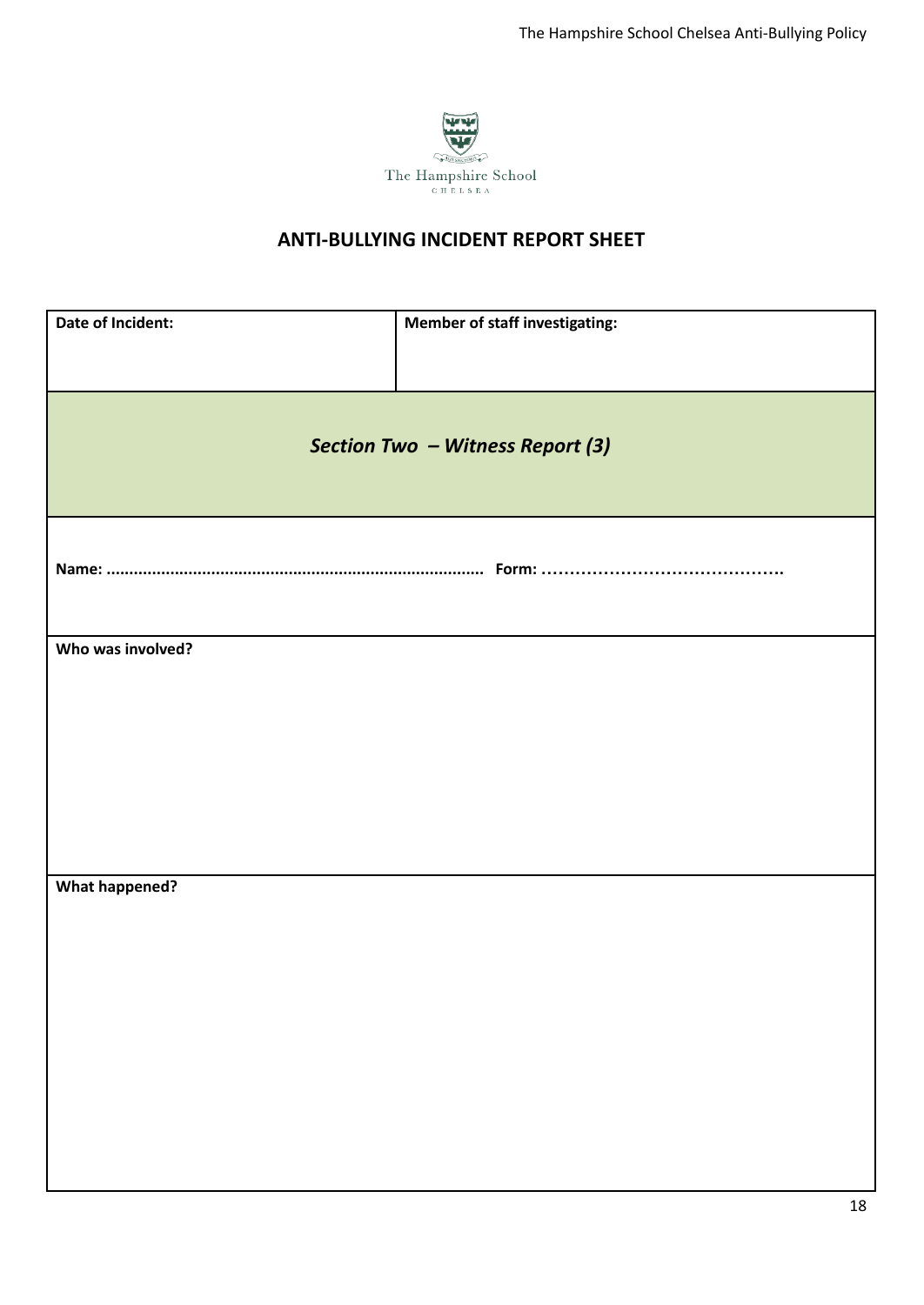

| Date of Incident:     | <b>Member of staff investigating:</b> |
|-----------------------|---------------------------------------|
|                       | Section Two - Witness Report (3)      |
|                       |                                       |
| Who was involved?     |                                       |
|                       |                                       |
|                       |                                       |
| <b>What happened?</b> |                                       |
|                       |                                       |
|                       |                                       |
|                       |                                       |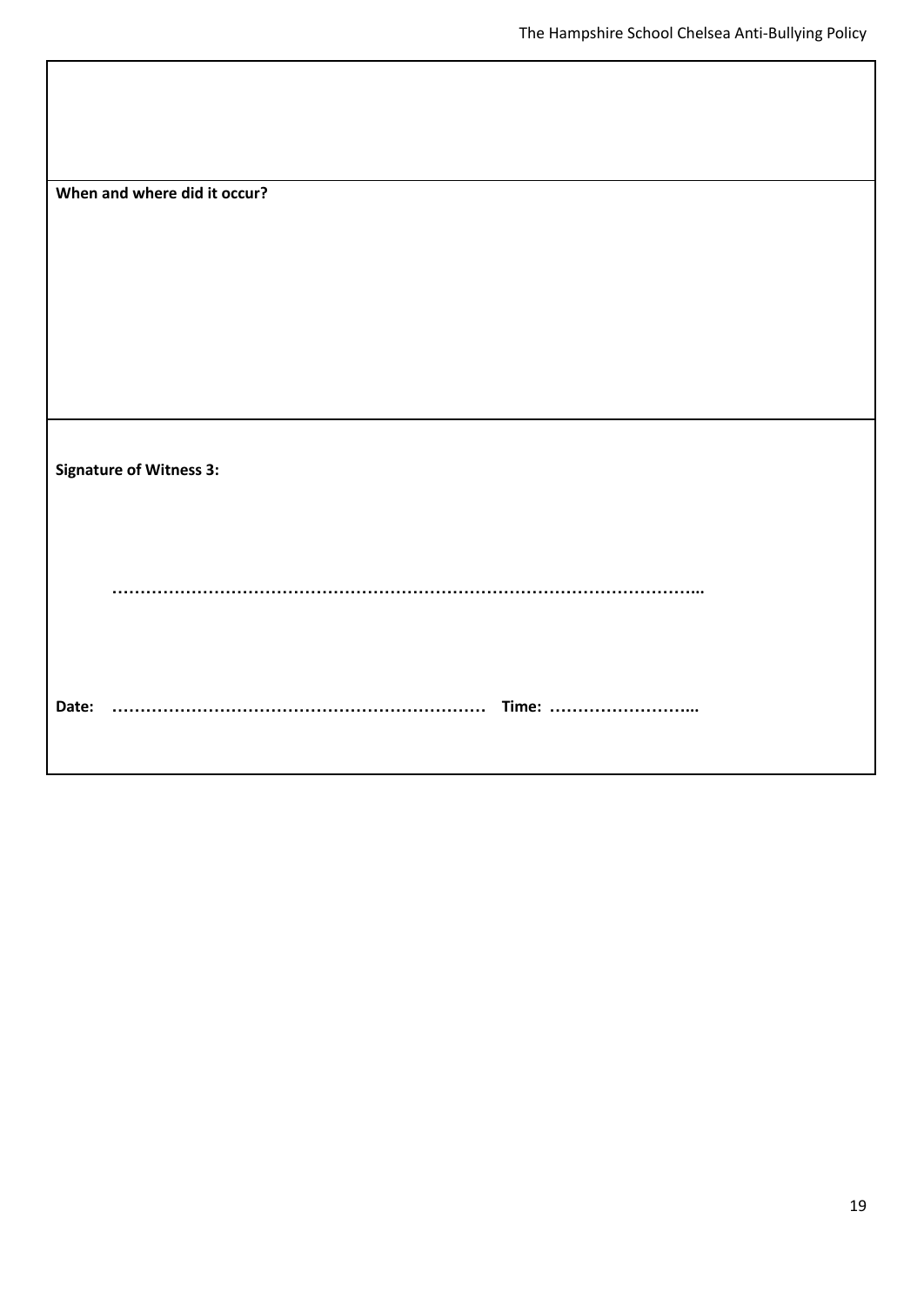| When and where did it occur?   |  |
|--------------------------------|--|
|                                |  |
|                                |  |
|                                |  |
| <b>Signature of Witness 3:</b> |  |
|                                |  |
| Date:<br>Time:                 |  |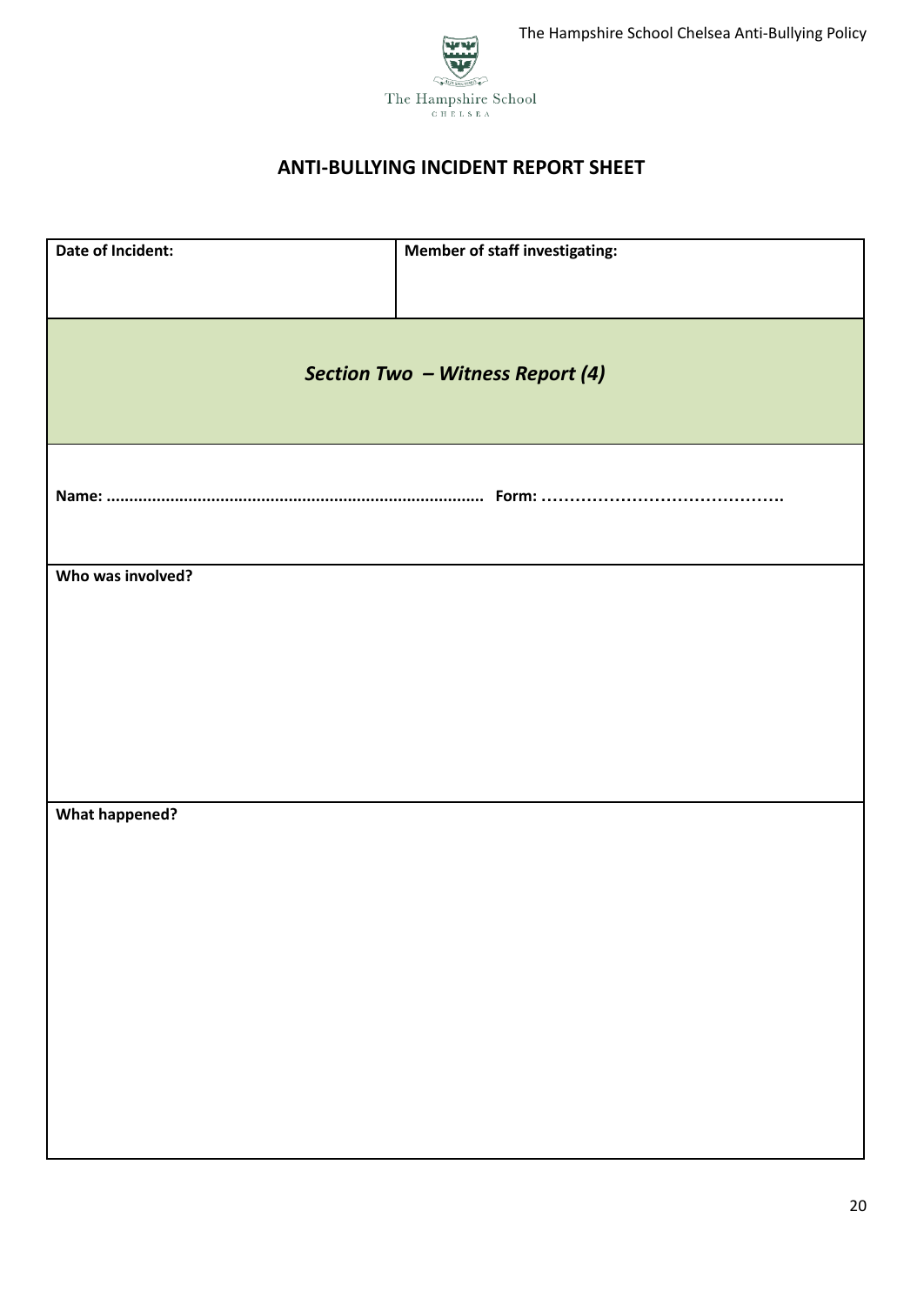



| Date of Incident:     | Member of staff investigating:   |
|-----------------------|----------------------------------|
|                       | Section Two - Witness Report (4) |
|                       |                                  |
| Who was involved?     |                                  |
|                       |                                  |
|                       |                                  |
|                       |                                  |
| <b>What happened?</b> |                                  |
|                       |                                  |
|                       |                                  |
|                       |                                  |
|                       |                                  |
|                       |                                  |
|                       |                                  |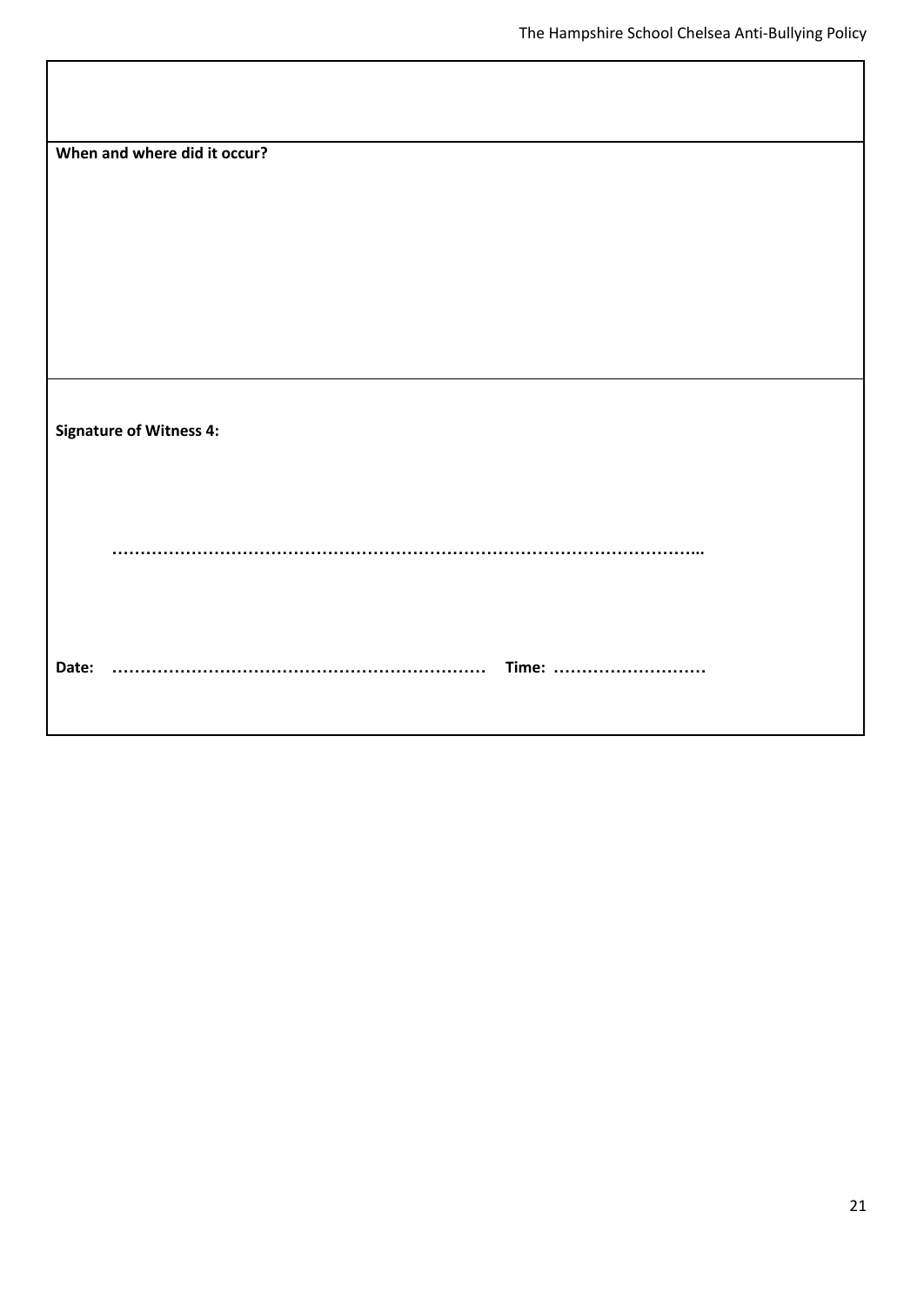| When and where did it occur?   |  |
|--------------------------------|--|
|                                |  |
|                                |  |
|                                |  |
|                                |  |
| <b>Signature of Witness 4:</b> |  |
|                                |  |
|                                |  |
|                                |  |
|                                |  |
| Date:<br>Time:<br><u>.</u>     |  |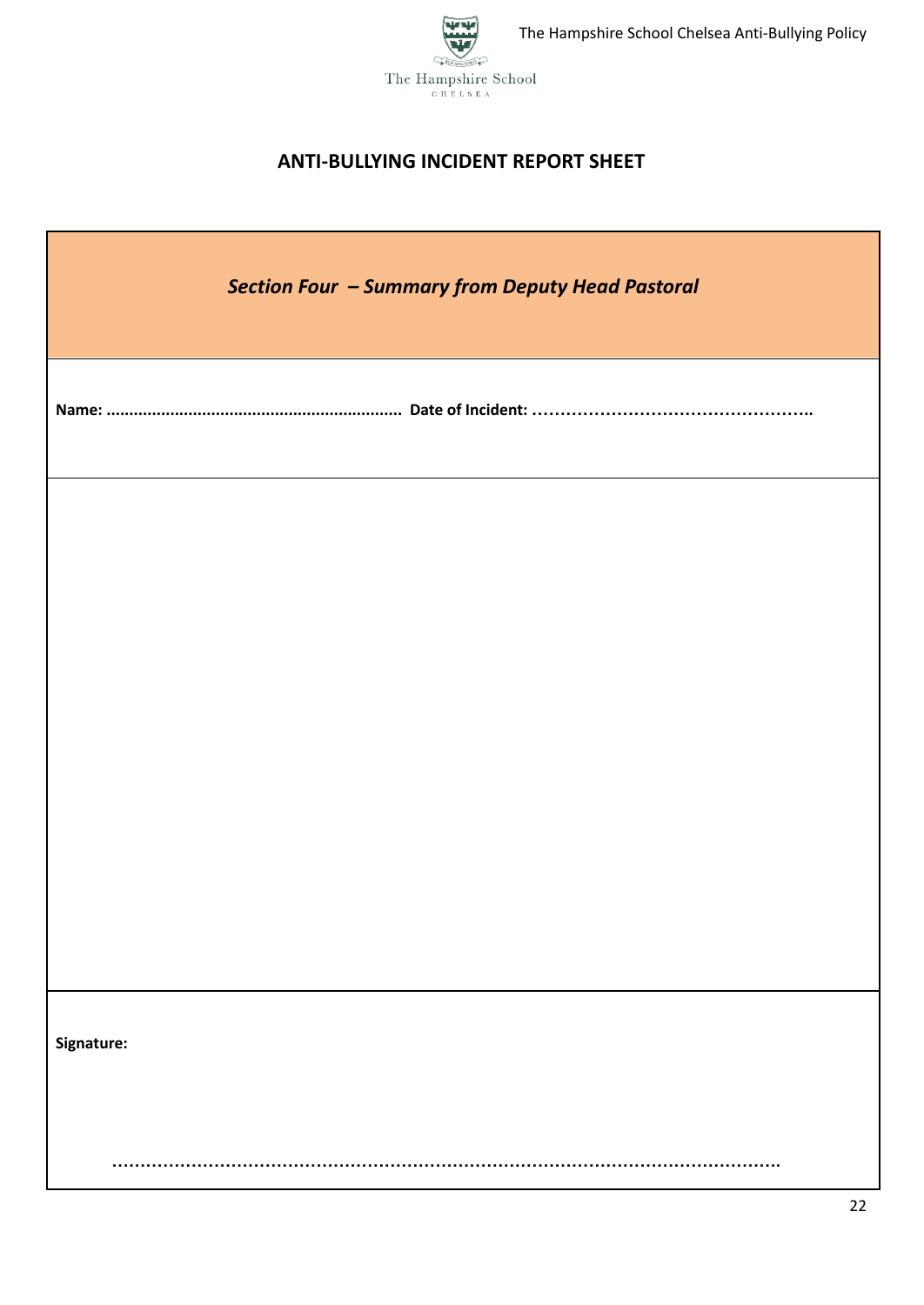

| <b>Section Four - Summary from Deputy Head Pastoral</b> |
|---------------------------------------------------------|
|                                                         |
|                                                         |
|                                                         |
|                                                         |
|                                                         |
| Signature:                                              |
|                                                         |